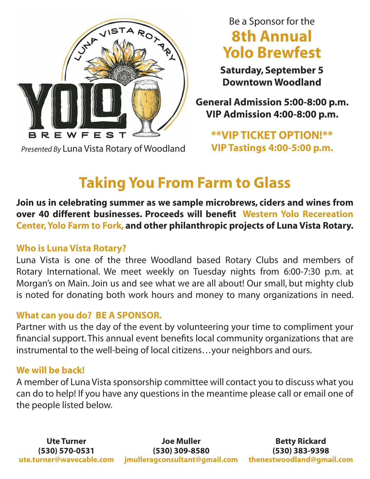

*Presented By* Luna Vista Rotary of Woodland **VIP Tastings 4:00-5:00 p.m.**

# Be a Sponsor for the **8th Annual Yolo Brewfest**

**Saturday, September 5 Downtown Woodland**

**General Admission 5:00-8:00 p.m. VIP Admission 4:00-8:00 p.m.**

**\*\*VIP TICKET OPTION!\*\***

# **Taking You From Farm to Glass**

**Join us in celebrating summer as we sample microbrews, ciders and wines from over 40 different businesses. Proceeds will benefit Western Yolo Recereation Center, Yolo Farm to Fork, and other philanthropic projects of Luna Vista Rotary.**

## **Who is Luna Vista Rotary?**

Luna Vista is one of the three Woodland based Rotary Clubs and members of Rotary International. We meet weekly on Tuesday nights from 6:00-7:30 p.m. at Morgan's on Main. Join us and see what we are all about! Our small, but mighty club is noted for donating both work hours and money to many organizations in need.

## **What can you do? BE A SPONSOR.**

Partner with us the day of the event by volunteering your time to compliment your financial support. This annual event benefits local community organizations that are instrumental to the well-being of local citizens…your neighbors and ours.

### **We will be back!**

A member of Luna Vista sponsorship committee will contact you to discuss what you can do to help! If you have any questions in the meantime please call or email one of the people listed below.

Ute Turner **Constructs Liet State Section** Joe Muller **Betty Rickard (530) 570-0531 (530) 309-8580 (530) 383-9398 ute.turner@wavecable.com jmulleragconsultant@gmail.com thenestwoodland@gmail.com**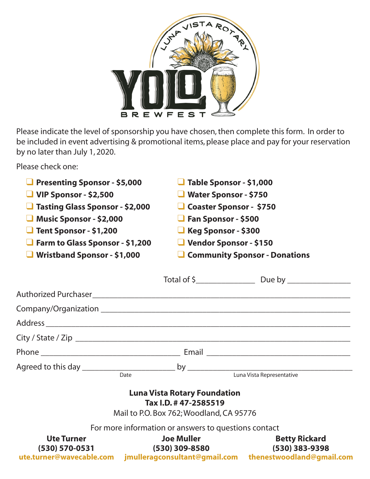

Please indicate the level of sponsorship you have chosen, then complete this form. In order to be included in event advertising & promotional items, please place and pay for your reservation by no later than July 1, 2020.

Please check one:

| <b>Presenting Sponsor - \$5,000</b><br>$\blacksquare$ VIP Sponsor - \$2,500<br>Tasting Glass Sponsor - \$2,000<br>Music Sponsor - \$2,000<br>Tent Sponsor - \$1,200<br>$\Box$ Farm to Glass Sponsor - \$1,200<br>$\blacksquare$ Wristband Sponsor - \$1,000 |                                                                                                          | $\Box$ Table Sponsor - \$1,000<br>Water Sponsor - \$750<br>Coaster Sponsor - \$750<br>$\Box$ Fan Sponsor - \$500<br><b>Keg Sponsor - \$300</b><br>U Vendor Sponsor - \$150<br>Community Sponsor - Donations |
|-------------------------------------------------------------------------------------------------------------------------------------------------------------------------------------------------------------------------------------------------------------|----------------------------------------------------------------------------------------------------------|-------------------------------------------------------------------------------------------------------------------------------------------------------------------------------------------------------------|
|                                                                                                                                                                                                                                                             |                                                                                                          |                                                                                                                                                                                                             |
|                                                                                                                                                                                                                                                             |                                                                                                          |                                                                                                                                                                                                             |
|                                                                                                                                                                                                                                                             |                                                                                                          |                                                                                                                                                                                                             |
|                                                                                                                                                                                                                                                             |                                                                                                          |                                                                                                                                                                                                             |
|                                                                                                                                                                                                                                                             |                                                                                                          |                                                                                                                                                                                                             |
|                                                                                                                                                                                                                                                             |                                                                                                          |                                                                                                                                                                                                             |
|                                                                                                                                                                                                                                                             |                                                                                                          |                                                                                                                                                                                                             |
|                                                                                                                                                                                                                                                             | <b>Luna Vista Rotary Foundation</b><br>Tax I.D. # 47-2585519<br>Mail to P.O. Box 762; Woodland, CA 95776 |                                                                                                                                                                                                             |
|                                                                                                                                                                                                                                                             | For more information or answers to questions contact                                                     |                                                                                                                                                                                                             |
| <b>Ute Turner</b><br>(530) 570-0531                                                                                                                                                                                                                         | <b>Joe Muller</b><br>(530) 309-8580                                                                      | <b>Betty Rickard</b><br>(530) 383-9398<br>ute.turner@wavecable.com jmulleragconsultant@gmail.com thenestwoodland@gmail.com                                                                                  |